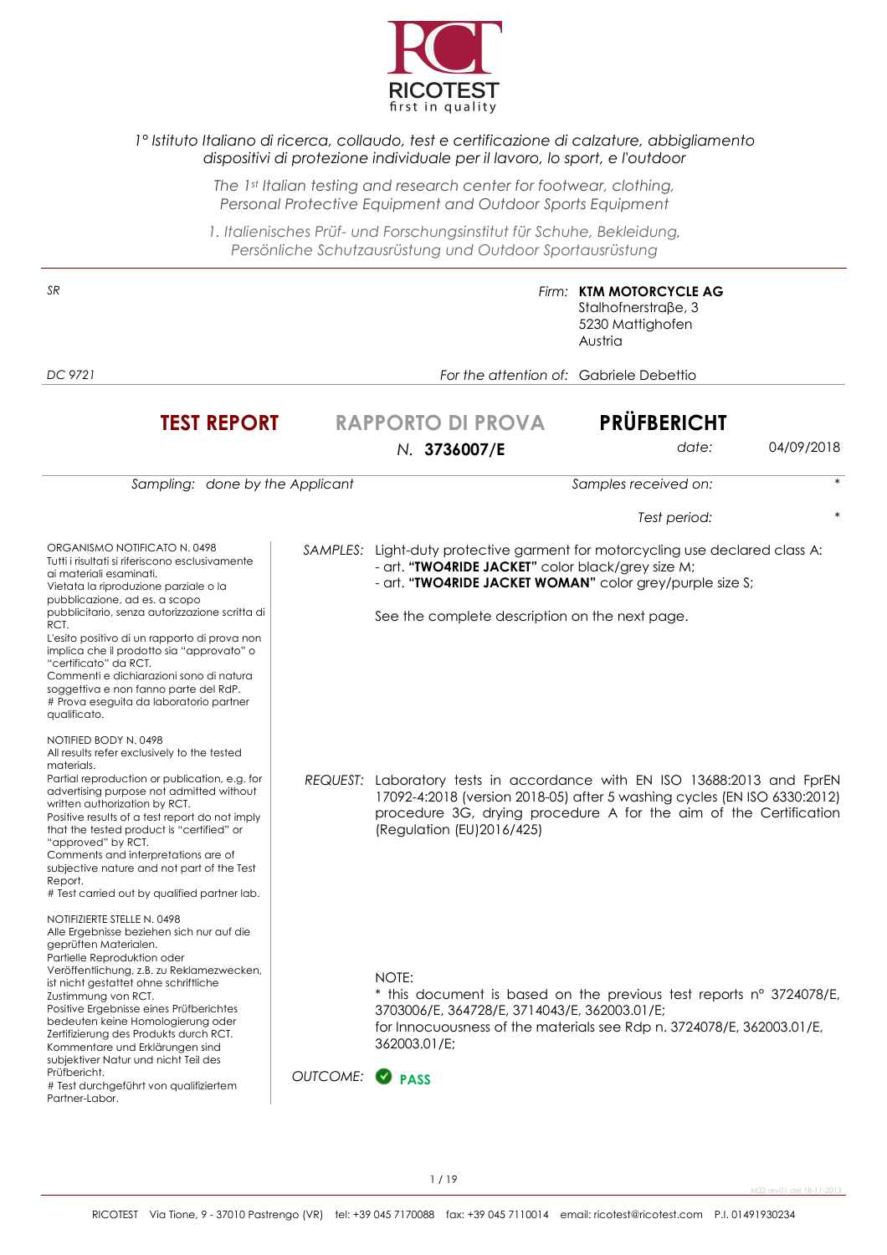

### *1° Istituto Italiano di ricerca, collaudo, test e certificazione di calzature, abbigliamento dispositivi di protezione individuale per il lavoro, lo sport, e l'outdoor*

*The 1st Italian testing and research center for footwear, clothing, Personal Protective Equipment and Outdoor Sports Equipment* 

*1. Italienisches Prüf- und Forschungsinstitut für Schuhe, Bekleidung, Persönliche Schutzausrüstung und Outdoor Sportausrüstung*

| SR                                                                                                                                                                                                                                                                                                                                                                                                                                                                                                                             |                      |                                                                                                                                                                                                                                                  | Firm: KTM MOTORCYCLE AG<br>Stalhofnerstraβe, 3<br>5230 Mattighofen<br>Austria |            |
|--------------------------------------------------------------------------------------------------------------------------------------------------------------------------------------------------------------------------------------------------------------------------------------------------------------------------------------------------------------------------------------------------------------------------------------------------------------------------------------------------------------------------------|----------------------|--------------------------------------------------------------------------------------------------------------------------------------------------------------------------------------------------------------------------------------------------|-------------------------------------------------------------------------------|------------|
| DC 9721                                                                                                                                                                                                                                                                                                                                                                                                                                                                                                                        |                      | For the attention of: Gabriele Debettio                                                                                                                                                                                                          |                                                                               |            |
| <b>TEST REPORT</b>                                                                                                                                                                                                                                                                                                                                                                                                                                                                                                             |                      | <b>RAPPORTO DI PROVA</b><br>N. 3736007/E                                                                                                                                                                                                         | <b>PRÜFBERICHT</b><br>date:                                                   | 04/09/2018 |
| Sampling: done by the Applicant                                                                                                                                                                                                                                                                                                                                                                                                                                                                                                |                      |                                                                                                                                                                                                                                                  | Samples received on:                                                          |            |
|                                                                                                                                                                                                                                                                                                                                                                                                                                                                                                                                |                      |                                                                                                                                                                                                                                                  | Test period:                                                                  |            |
| ORGANISMO NOTIFICATO N. 0498<br>Tutti i risultati si riferiscono esclusivamente<br>ai materiali esaminati.<br>Vietata la riproduzione parziale o la<br>pubblicazione, ad es. a scopo<br>pubblicitario, senza autorizzazione scritta di<br>RCT.<br>L'esito positivo di un rapporto di prova non<br>implica che il prodotto sia "approvato" o<br>"certificato" da RCT.<br>Commenti e dichiarazioni sono di natura<br>soggettiva e non fanno parte del RdP.<br># Prova eseguita da laboratorio partner<br>qualificato.            |                      | SAMPLES: Light-duty protective garment for motorcycling use declared class A:<br>- art. "TWO4RIDE JACKET" color black/grey size M;<br>- art. "TWO4RIDE JACKET WOMAN" color grey/purple size S;<br>See the complete description on the next page. |                                                                               |            |
| NOTIFIED BODY N. 0498<br>All results refer exclusively to the tested<br>materials.<br>Partial reproduction or publication, e.g. for<br>advertising purpose not admitted without<br>written authorization by RCT.<br>Positive results of a test report do not imply<br>that the tested product is "certified" or<br>"approved" by RCT.<br>Comments and interpretations are of<br>subjective nature and not part of the Test<br>Report.<br># Test carried out by qualified partner lab.                                          | REQUEST:             | Laboratory tests in accordance with EN ISO 13688:2013 and FprEN<br>17092-4:2018 (version 2018-05) after 5 washing cycles (EN ISO 6330:2012)<br>procedure 3G, drying procedure A for the aim of the Certification<br>(Regulation (EU)2016/425)    |                                                                               |            |
| NOTIFIZIERTE STELLE N. 0498<br>Alle Ergebnisse beziehen sich nur auf die<br>geprutten Materialen.<br>Partielle Reproduktion oder<br>Veröffentlichung, z.B. zu Reklamezwecken,<br>ist nicht gestattet ohne schriftliche<br>Zustimmung von RCT.<br>Positive Ergebnisse eines Prüfberichtes<br>bedeuten keine Homologierung oder<br>Zertifizierung des Produkts durch RCT.<br>Kommentare und Erklärungen sind<br>subjektiver Natur und nicht Teil des<br>Prüfbericht.<br># Test durchgeführt von qualifiziertem<br>Partner-Labor. | OUTCOME: <b>PASS</b> | NOTE:<br>* this document is based on the previous test reports n° 3724078/E,<br>3703006/E, 364728/E, 3714043/E, 362003.01/E;<br>for Innocuousness of the materials see Rdp n. 3724078/E, 362003.01/E,<br>362003.01/E;                            |                                                                               |            |

M22 rev01 del 18-11-2013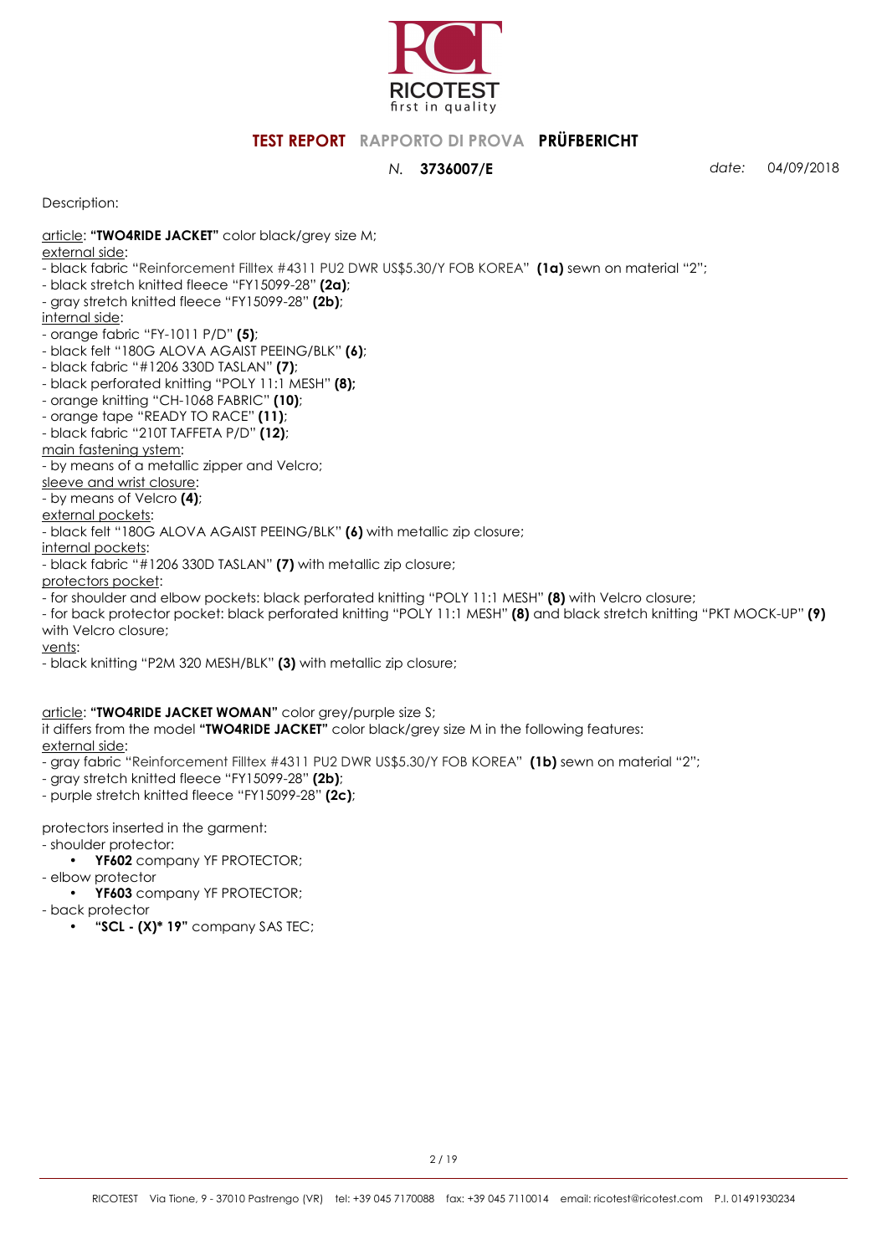

*N.* **3736007/E** *date:* 04/09/2018

Description:

- article: **"TWO4RIDE JACKET"** color black/grey size M;
- external side:
- black fabric "Reinforcement Filltex #4311 PU2 DWR US\$5.30/Y FOB KOREA" **(1a)** sewn on material "2";
- black stretch knitted fleece "FY15099-28" **(2a)**;
- gray stretch knitted fleece "FY15099-28" **(2b)**;

internal side:

- orange fabric "FY-1011 P/D" **(5)**;
- black felt "180G ALOVA AGAIST PEEING/BLK" **(6)**;
- black fabric "#1206 330D TASLAN" **(7)**;
- black perforated knitting "POLY 11:1 MESH" **(8);**
- orange knitting "CH-1068 FABRIC" **(10)**;
- orange tape "READY TO RACE" **(11)**;
- black fabric "210T TAFFETA P/D" **(12)**;

main fastening ystem:

- by means of a metallic zipper and Velcro;

sleeve and wrist closure:

- by means of Velcro **(4)**;

external pockets: - black felt "180G ALOVA AGAIST PEEING/BLK" **(6)** with metallic zip closure;

internal pockets:

- black fabric "#1206 330D TASLAN" **(7)** with metallic zip closure;

protectors pocket:

- for shoulder and elbow pockets: black perforated knitting "POLY 11:1 MESH" **(8)** with Velcro closure;

- for back protector pocket: black perforated knitting "POLY 11:1 MESH" **(8)** and black stretch knitting "PKT MOCK-UP" **(9)**  with Velcro closure;

vents:

- black knitting "P2M 320 MESH/BLK" **(3)** with metallic zip closure;

article: **"TWO4RIDE JACKET WOMAN"** color grey/purple size S;

it differs from the model **"TWO4RIDE JACKET"** color black/grey size M in the following features:

external side:

- gray fabric "Reinforcement Filltex #4311 PU2 DWR US\$5.30/Y FOB KOREA" **(1b)** sewn on material "2";

- gray stretch knitted fleece "FY15099-28" **(2b)**;
- purple stretch knitted fleece "FY15099-28" **(2c)**;

protectors inserted in the garment:

- shoulder protector:

- **YF602** company YF PROTECTOR;
- elbow protector
- **YF603** company YF PROTECTOR;
- back protector
	- **"SCL (X)\* 19"** company SAS TEC;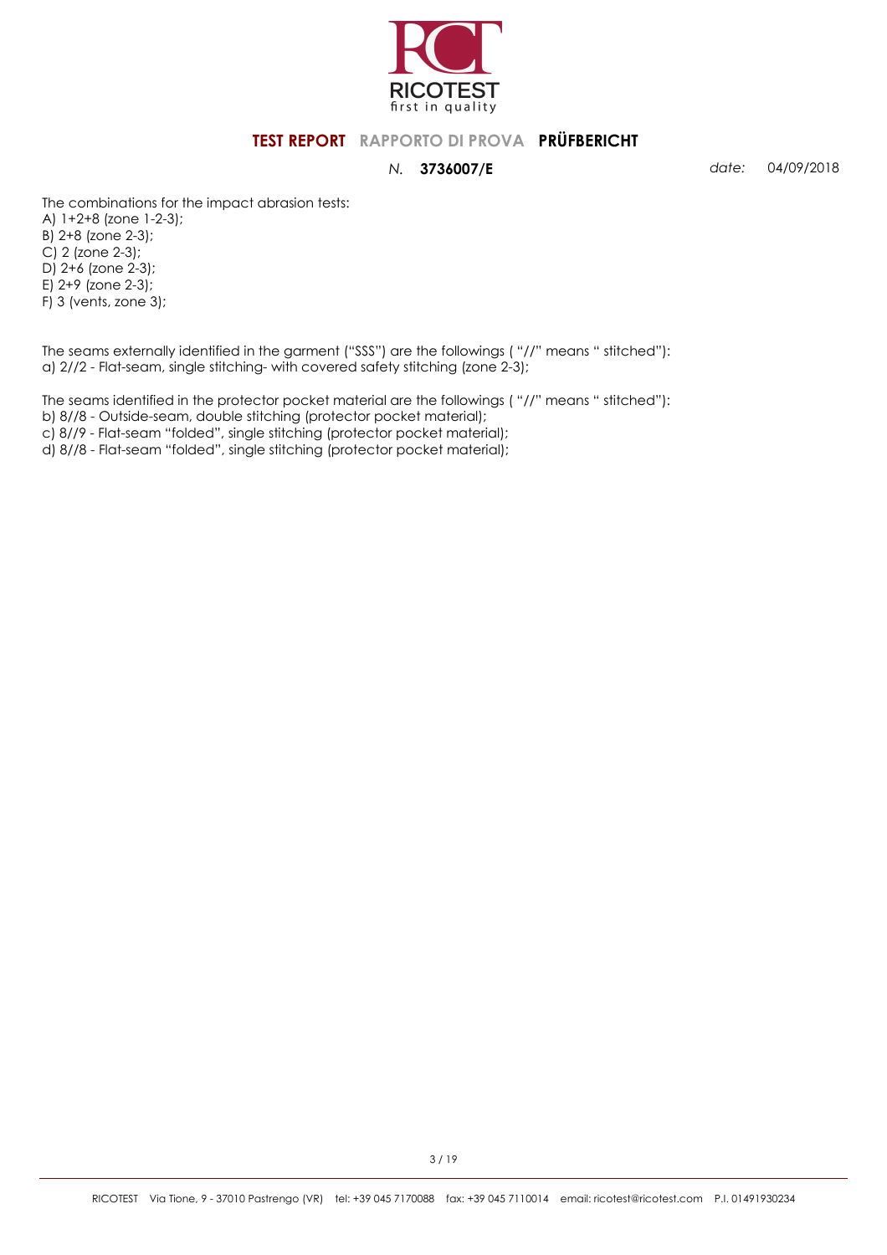

*N.* **3736007/E** *date:* 04/09/2018

The combinations for the impact abrasion tests:

A) 1+2+8 (zone 1-2-3); B) 2+8 (zone 2-3); C) 2 (zone 2-3); D) 2+6 (zone 2-3); E) 2+9 (zone 2-3); F) 3 (vents, zone 3);

The seams externally identified in the garment ("SSS") are the followings ( "//" means " stitched"): a) 2//2 - Flat-seam, single stitching- with covered safety stitching (zone 2-3);

The seams identified in the protector pocket material are the followings ( "//" means " stitched"):

b) 8//8 - Outside-seam, double stitching (protector pocket material); c) 8//9 - Flat-seam "folded", single stitching (protector pocket material);

d) 8//8 - Flat-seam "folded", single stitching (protector pocket material);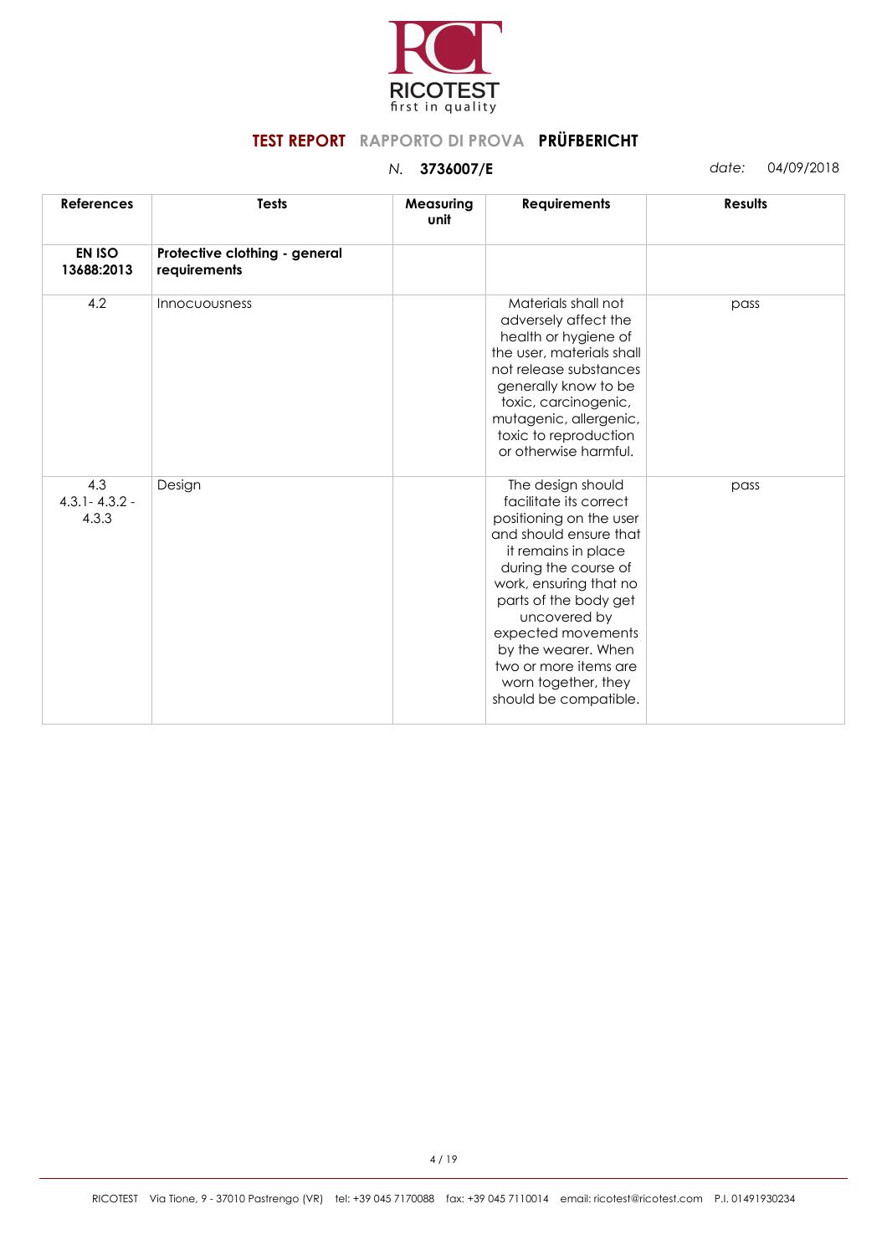

| <b>References</b>                 | <b>Tests</b>                                  | Measuring<br>unit | <b>Requirements</b>                                                                                                                                                                                                                                                                                                                      | <b>Results</b> |
|-----------------------------------|-----------------------------------------------|-------------------|------------------------------------------------------------------------------------------------------------------------------------------------------------------------------------------------------------------------------------------------------------------------------------------------------------------------------------------|----------------|
| <b>EN ISO</b><br>13688:2013       | Protective clothing - general<br>requirements |                   |                                                                                                                                                                                                                                                                                                                                          |                |
| 4.2                               | <b>Innocuousness</b>                          |                   | Materials shall not<br>adversely affect the<br>health or hygiene of<br>the user, materials shall<br>not release substances<br>generally know to be<br>toxic, carcinogenic,<br>mutagenic, allergenic,<br>toxic to reproduction<br>or otherwise harmful.                                                                                   | pass           |
| 4.3<br>$4.3.1 - 4.3.2 -$<br>4.3.3 | Design                                        |                   | The design should<br>facilitate its correct<br>positioning on the user<br>and should ensure that<br>it remains in place<br>during the course of<br>work, ensuring that no<br>parts of the body get<br>uncovered by<br>expected movements<br>by the wearer. When<br>two or more items are<br>worn together, they<br>should be compatible. | pass           |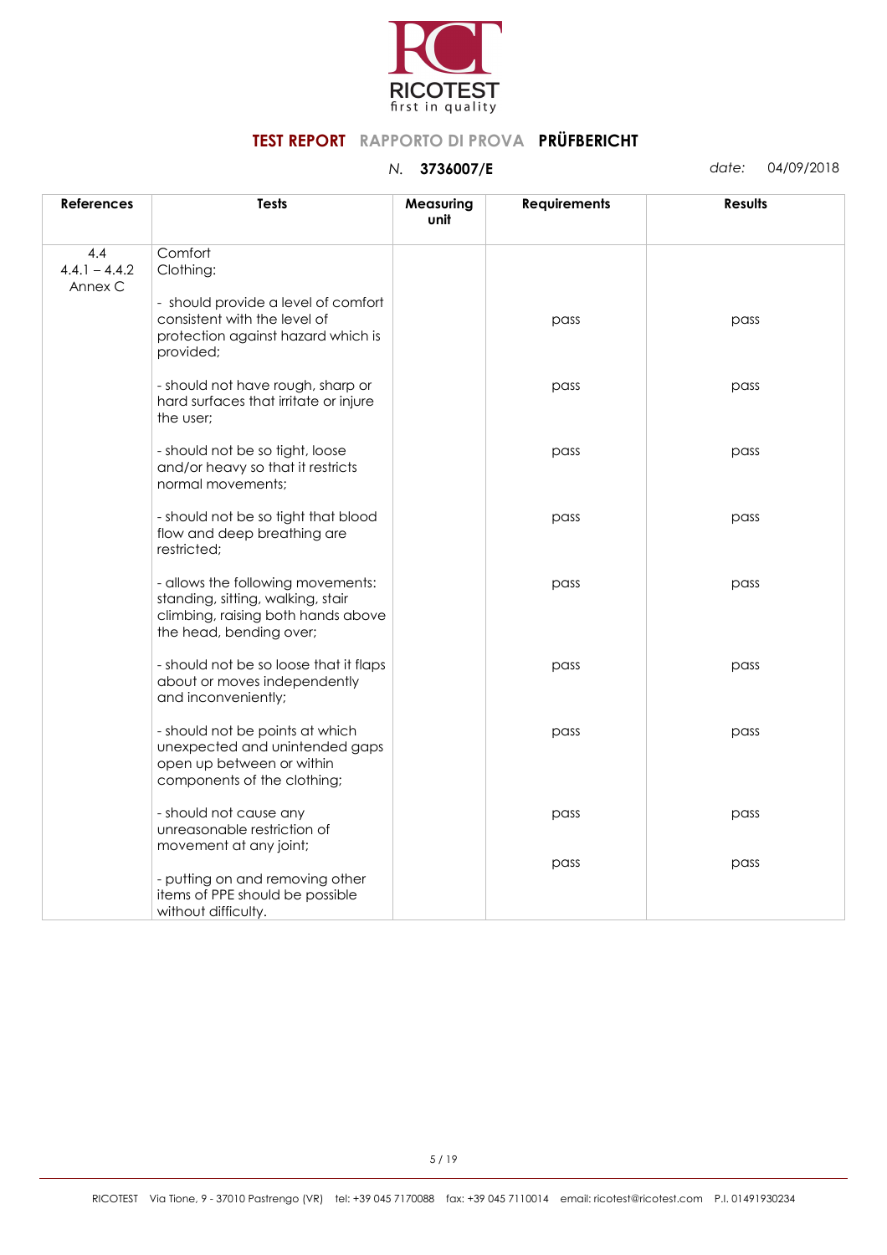

| <b>References</b>                 | Tests                                                                                                                                   | Measuring<br>unit | <b>Requirements</b> | <b>Results</b> |
|-----------------------------------|-----------------------------------------------------------------------------------------------------------------------------------------|-------------------|---------------------|----------------|
| 4.4<br>$4.4.1 - 4.4.2$<br>Annex C | Comfort<br>Clothing:                                                                                                                    |                   |                     |                |
|                                   | - should provide a level of comfort<br>consistent with the level of<br>protection against hazard which is<br>provided;                  |                   | pass                | pass           |
|                                   | - should not have rough, sharp or<br>hard surfaces that irritate or injure<br>the user;                                                 |                   | pass                | pass           |
|                                   | - should not be so tight, loose<br>and/or heavy so that it restricts<br>normal movements;                                               |                   | pass                | pass           |
|                                   | - should not be so tight that blood<br>flow and deep breathing are<br>restricted;                                                       |                   | pass                | pass           |
|                                   | - allows the following movements:<br>standing, sitting, walking, stair<br>climbing, raising both hands above<br>the head, bending over; |                   | pass                | pass           |
|                                   | - should not be so loose that it flaps<br>about or moves independently<br>and inconveniently;                                           |                   | pass                | pass           |
|                                   | - should not be points at which<br>unexpected and unintended gaps<br>open up between or within<br>components of the clothing;           |                   | pass                | pass           |
|                                   | - should not cause any<br>unreasonable restriction of<br>movement at any joint;                                                         |                   | pass                | pass           |
|                                   | - putting on and removing other<br>items of PPE should be possible<br>without difficulty.                                               |                   | pass                | pass           |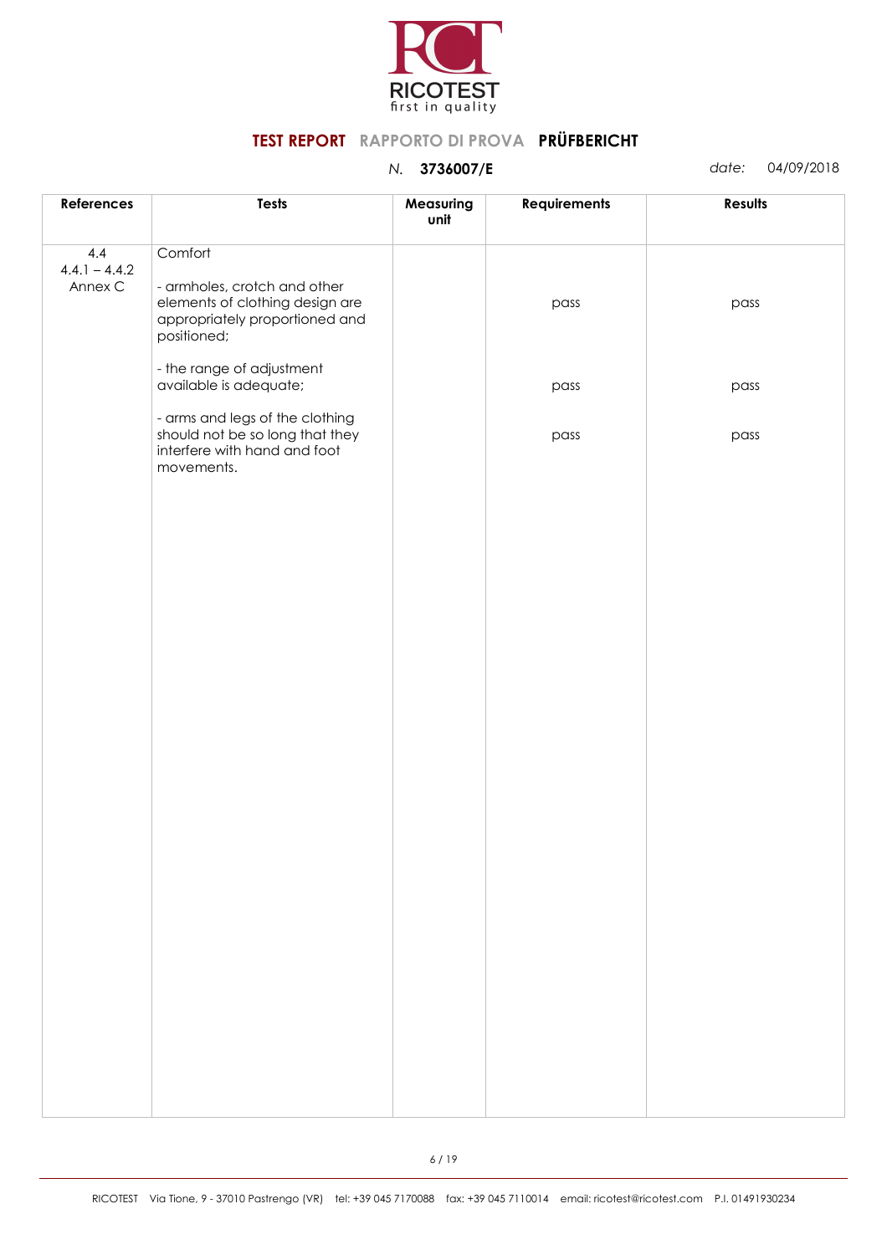

| References                        | <b>Tests</b>                                                                                                                | Measuring<br>unit | <b>Requirements</b> | <b>Results</b> |
|-----------------------------------|-----------------------------------------------------------------------------------------------------------------------------|-------------------|---------------------|----------------|
| 4.4<br>$4.4.1 - 4.4.2$<br>Annex C | Comfort<br>- armholes, crotch and other<br>elements of clothing design are<br>appropriately proportioned and<br>positioned; |                   | pass                | pass           |
|                                   | - the range of adjustment<br>available is adequate;                                                                         |                   | pass                | pass           |
|                                   | - arms and legs of the clothing<br>should not be so long that they<br>interfere with hand and foot<br>movements.            |                   | pass                | pass           |
|                                   |                                                                                                                             |                   |                     |                |
|                                   |                                                                                                                             |                   |                     |                |
|                                   |                                                                                                                             |                   |                     |                |
|                                   |                                                                                                                             |                   |                     |                |
|                                   |                                                                                                                             |                   |                     |                |
|                                   |                                                                                                                             |                   |                     |                |
|                                   |                                                                                                                             |                   |                     |                |
|                                   |                                                                                                                             |                   |                     |                |
|                                   |                                                                                                                             |                   |                     |                |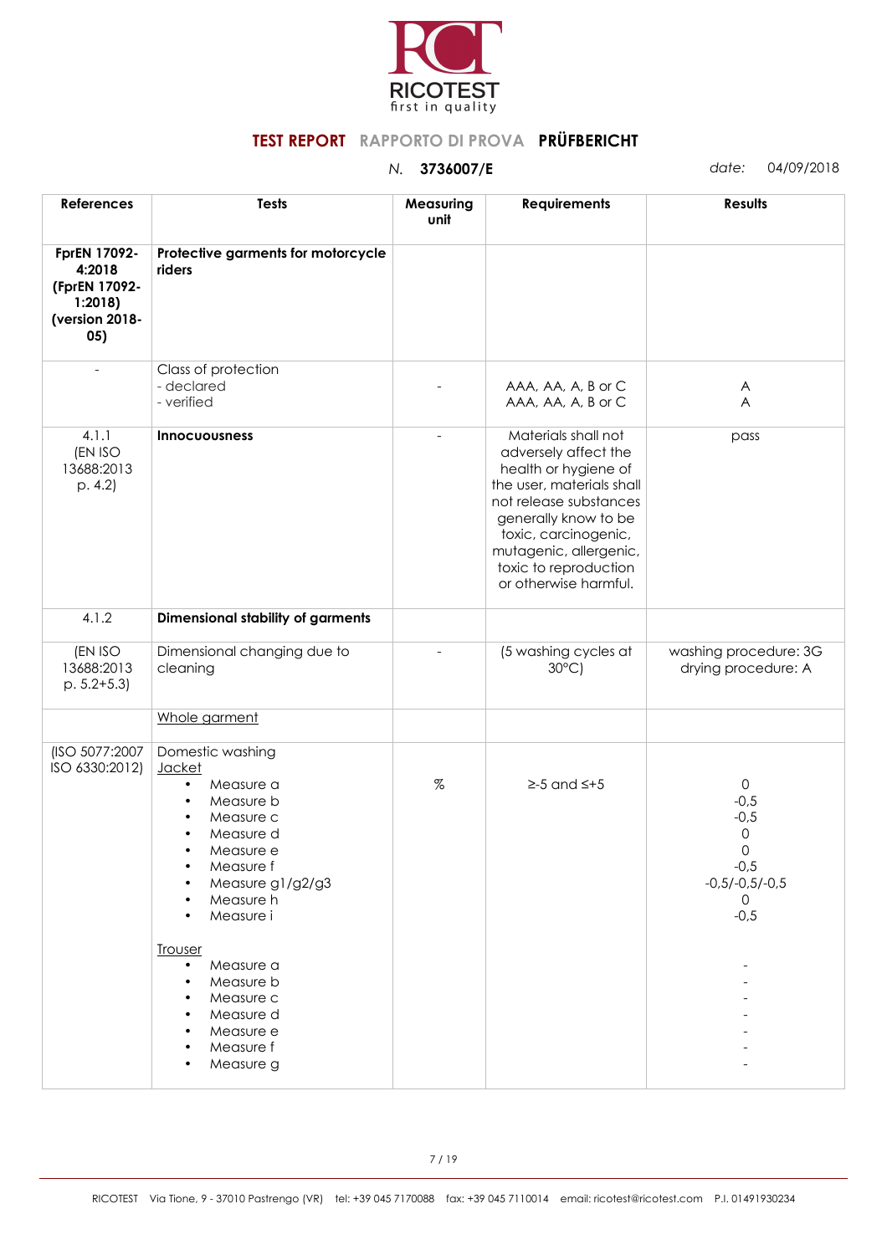

| <b>References</b>                                                          | <b>Tests</b>                                                                                                                                                                                                                                                                                                                                      | Measuring<br>unit | <b>Requirements</b>                                                                                                                                                                                                                                    | <b>Results</b>                                                                                     |
|----------------------------------------------------------------------------|---------------------------------------------------------------------------------------------------------------------------------------------------------------------------------------------------------------------------------------------------------------------------------------------------------------------------------------------------|-------------------|--------------------------------------------------------------------------------------------------------------------------------------------------------------------------------------------------------------------------------------------------------|----------------------------------------------------------------------------------------------------|
| FprEN 17092-<br>4:2018<br>(FprEN 17092-<br>1:2018<br>(version 2018-<br>05) | Protective garments for motorcycle<br>riders                                                                                                                                                                                                                                                                                                      |                   |                                                                                                                                                                                                                                                        |                                                                                                    |
| $\equiv$                                                                   | Class of protection<br>- declared<br>- verified                                                                                                                                                                                                                                                                                                   |                   | AAA, AA, A, B or C<br>AAA, AA, A, B or C                                                                                                                                                                                                               | A<br>A                                                                                             |
| 4.1.1<br>(EN ISO<br>13688:2013<br>p. 4.2                                   | <b>Innocuousness</b>                                                                                                                                                                                                                                                                                                                              |                   | Materials shall not<br>adversely affect the<br>health or hygiene of<br>the user, materials shall<br>not release substances<br>generally know to be<br>toxic, carcinogenic,<br>mutagenic, allergenic,<br>toxic to reproduction<br>or otherwise harmful. | pass                                                                                               |
| 4.1.2                                                                      | Dimensional stability of garments                                                                                                                                                                                                                                                                                                                 |                   |                                                                                                                                                                                                                                                        |                                                                                                    |
| (EN ISO<br>13688:2013<br>$p. 5.2 + 5.3$                                    | Dimensional changing due to<br>cleaning                                                                                                                                                                                                                                                                                                           |                   | (5 washing cycles at<br>$30^{\circ}$ C)                                                                                                                                                                                                                | washing procedure: 3G<br>drying procedure: A                                                       |
|                                                                            | Whole garment                                                                                                                                                                                                                                                                                                                                     |                   |                                                                                                                                                                                                                                                        |                                                                                                    |
| (ISO 5077:2007<br>ISO 6330:2012)                                           | Domestic washing<br>Jacket<br>Measure a<br>$\bullet$<br>Measure b<br>$\bullet$<br>Measure c<br>$\bullet$<br>Measure d<br>$\bullet$<br>Measure e<br>Measure f<br>$\bullet$<br>Measure g1/g2/g3<br>Measure h<br>Measure i<br><b>Trouser</b><br>Measure a<br>$\bullet$<br>Measure b<br>Measure c<br>Measure d<br>Measure e<br>Measure f<br>Measure g | $\%$              | $\geq$ -5 and $\leq$ +5                                                                                                                                                                                                                                | $\mathsf{O}$<br>$-0,5$<br>$-0,5$<br>0<br>0<br>$-0,5$<br>$-0.5/-0.5/-0.5$<br>$\mathbf{0}$<br>$-0,5$ |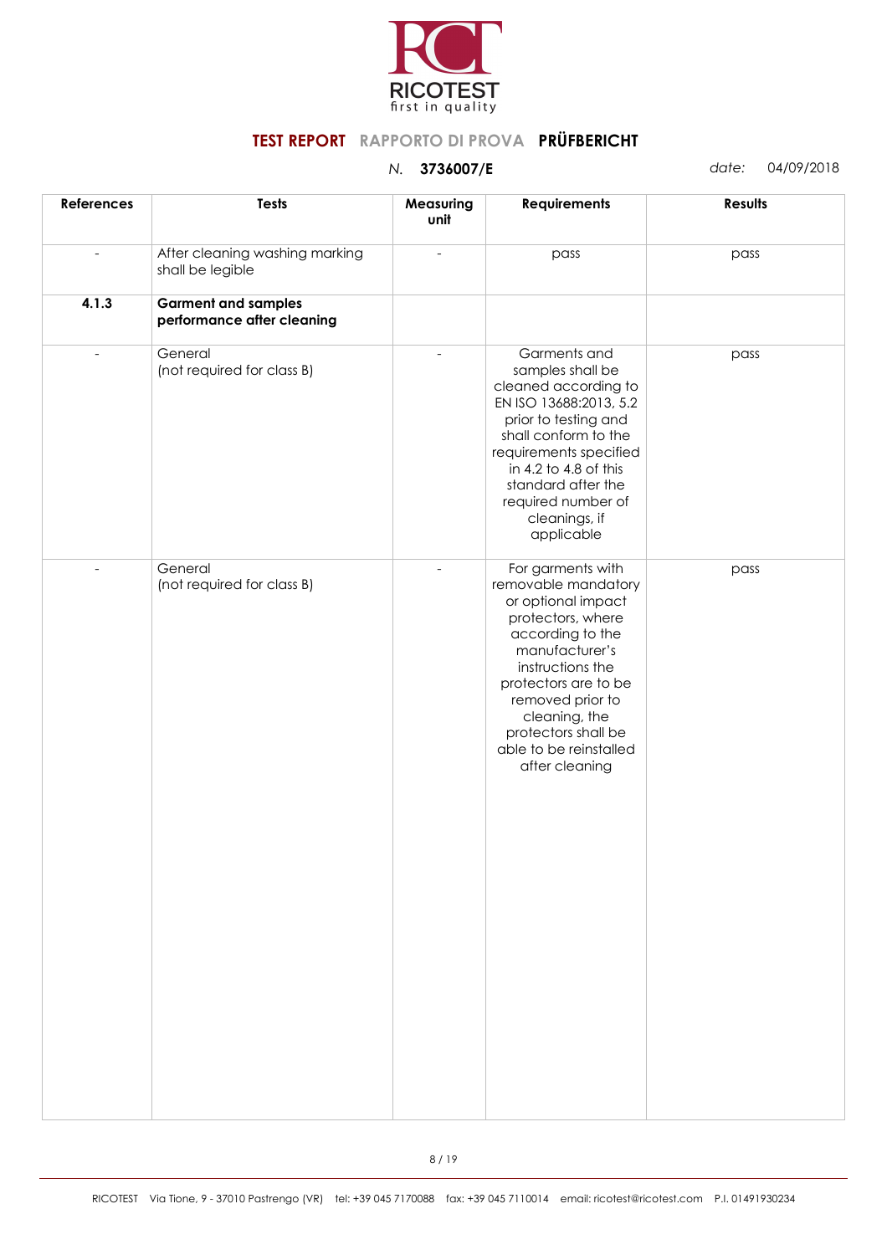

| <b>References</b> | <b>Tests</b>                                             | Measuring<br>unit | <b>Requirements</b>                                                                                                                                                                                                                                                           | Results |
|-------------------|----------------------------------------------------------|-------------------|-------------------------------------------------------------------------------------------------------------------------------------------------------------------------------------------------------------------------------------------------------------------------------|---------|
|                   | After cleaning washing marking<br>shall be legible       |                   | pass                                                                                                                                                                                                                                                                          | pass    |
| 4.1.3             | <b>Garment and samples</b><br>performance after cleaning |                   |                                                                                                                                                                                                                                                                               |         |
| $\overline{a}$    | General<br>(not required for class B)                    |                   | Garments and<br>samples shall be<br>cleaned according to<br>EN ISO 13688:2013, 5.2<br>prior to testing and<br>shall conform to the<br>requirements specified<br>in 4.2 to 4.8 of this<br>standard after the<br>required number of<br>cleanings, if<br>applicable              | pass    |
| $\overline{a}$    | General<br>(not required for class B)                    |                   | For garments with<br>removable mandatory<br>or optional impact<br>protectors, where<br>according to the<br>manufacturer's<br>instructions the<br>protectors are to be<br>removed prior to<br>cleaning, the<br>protectors shall be<br>able to be reinstalled<br>after cleaning | pass    |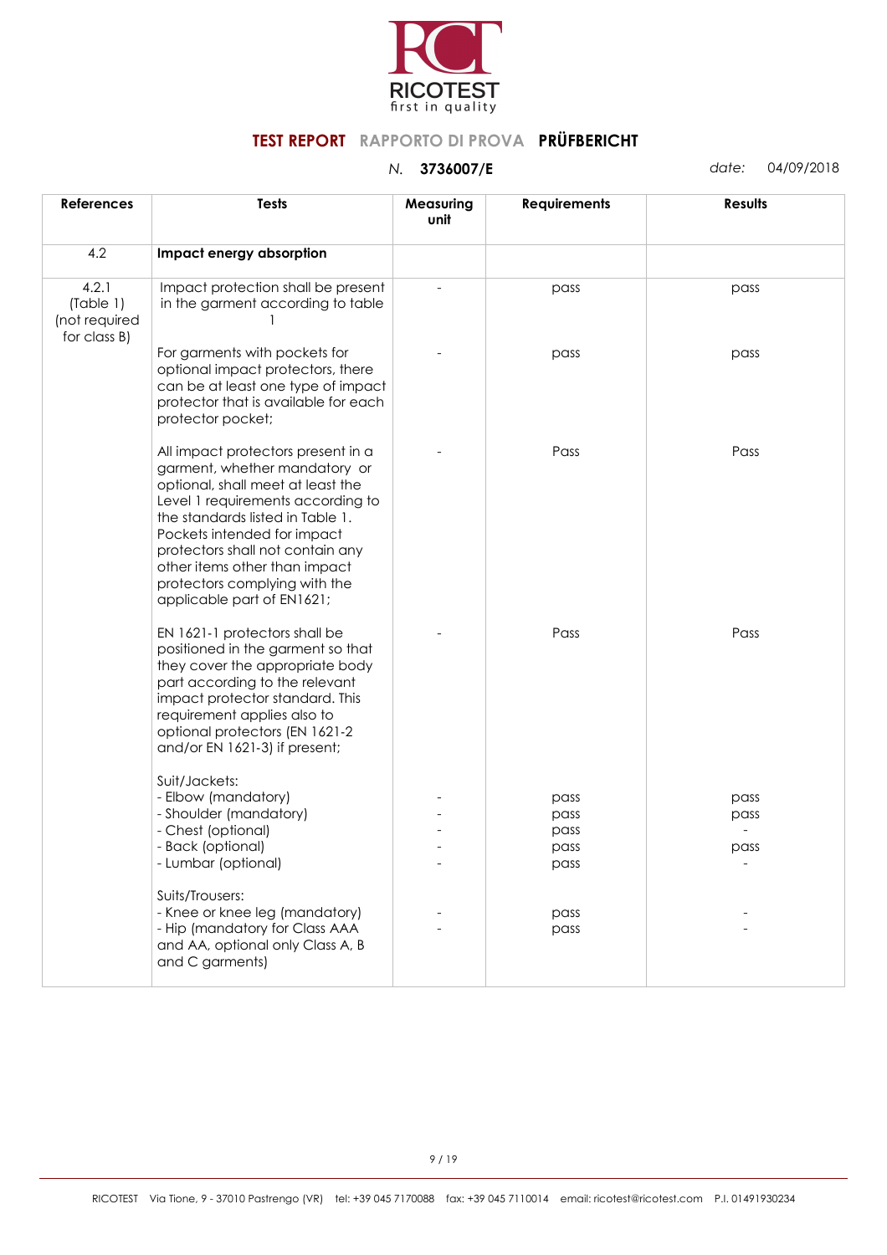

| <b>References</b>                                   | <b>Tests</b>                                                                                                                                                                                                                                                                                                                                         | Measuring<br>unit | <b>Requirements</b>                  | <b>Results</b>       |
|-----------------------------------------------------|------------------------------------------------------------------------------------------------------------------------------------------------------------------------------------------------------------------------------------------------------------------------------------------------------------------------------------------------------|-------------------|--------------------------------------|----------------------|
| 4.2                                                 | Impact energy absorption                                                                                                                                                                                                                                                                                                                             |                   |                                      |                      |
| 4.2.1<br>(Table 1)<br>(not required<br>for class B) | Impact protection shall be present<br>in the garment according to table                                                                                                                                                                                                                                                                              |                   | pass                                 | pass                 |
|                                                     | For garments with pockets for<br>optional impact protectors, there<br>can be at least one type of impact<br>protector that is available for each<br>protector pocket;                                                                                                                                                                                |                   | pass                                 | pass                 |
|                                                     | All impact protectors present in a<br>garment, whether mandatory or<br>optional, shall meet at least the<br>Level 1 requirements according to<br>the standards listed in Table 1.<br>Pockets intended for impact<br>protectors shall not contain any<br>other items other than impact<br>protectors complying with the<br>applicable part of EN1621; |                   | Pass                                 | Pass                 |
|                                                     | EN 1621-1 protectors shall be<br>positioned in the garment so that<br>they cover the appropriate body<br>part according to the relevant<br>impact protector standard. This<br>requirement applies also to<br>optional protectors (EN 1621-2<br>and/or EN 1621-3) if present;                                                                         |                   | Pass                                 | Pass                 |
|                                                     | Suit/Jackets:<br>- Elbow (mandatory)<br>- Shoulder (mandatory)<br>- Chest (optional)<br>- Back (optional)<br>- Lumbar (optional)                                                                                                                                                                                                                     |                   | pass<br>pass<br>pass<br>pass<br>pass | pass<br>pass<br>pass |
|                                                     | Suits/Trousers:<br>- Knee or knee leg (mandatory)<br>- Hip (mandatory for Class AAA<br>and AA, optional only Class A, B<br>and C garments)                                                                                                                                                                                                           |                   | pass<br>pass                         |                      |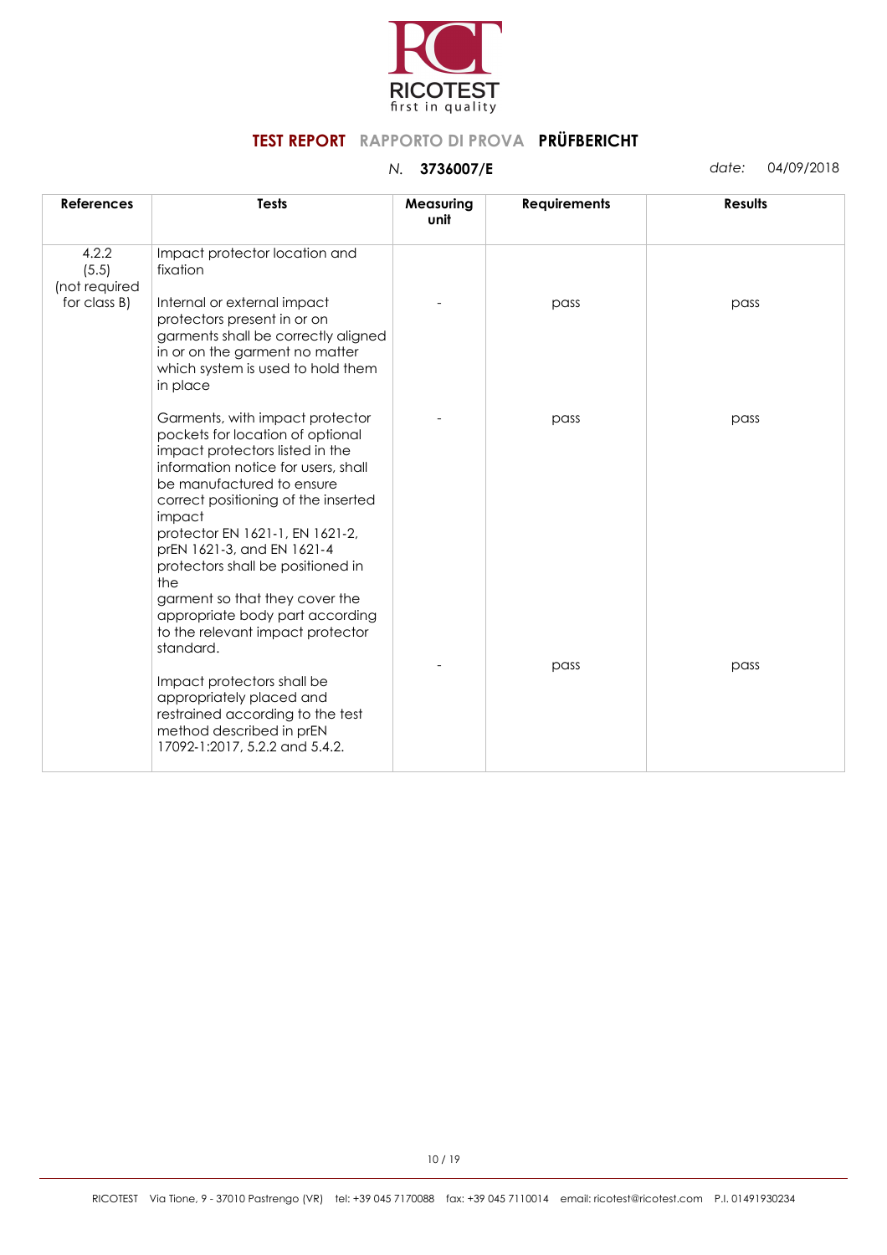

| <b>References</b>               | <b>Tests</b>                                                                                                                                                                                                                                                                                                                                                                                                                                                   | Measuring<br>unit | <b>Requirements</b> | <b>Results</b> |
|---------------------------------|----------------------------------------------------------------------------------------------------------------------------------------------------------------------------------------------------------------------------------------------------------------------------------------------------------------------------------------------------------------------------------------------------------------------------------------------------------------|-------------------|---------------------|----------------|
| 4.2.2<br>(5.5)<br>(not required | Impact protector location and<br>fixation                                                                                                                                                                                                                                                                                                                                                                                                                      |                   |                     |                |
| for class B)                    | Internal or external impact<br>protectors present in or on<br>garments shall be correctly aligned<br>in or on the garment no matter<br>which system is used to hold them<br>in place                                                                                                                                                                                                                                                                           |                   | pass                | pass           |
|                                 | Garments, with impact protector<br>pockets for location of optional<br>impact protectors listed in the<br>information notice for users, shall<br>be manufactured to ensure<br>correct positioning of the inserted<br>impact<br>protector EN 1621-1, EN 1621-2,<br>prEN 1621-3, and EN 1621-4<br>protectors shall be positioned in<br>the<br>garment so that they cover the<br>appropriate body part according<br>to the relevant impact protector<br>standard. |                   | pass                | pass           |
|                                 | Impact protectors shall be<br>appropriately placed and<br>restrained according to the test<br>method described in prEN<br>17092-1:2017, 5.2.2 and 5.4.2.                                                                                                                                                                                                                                                                                                       |                   | pass                | pass           |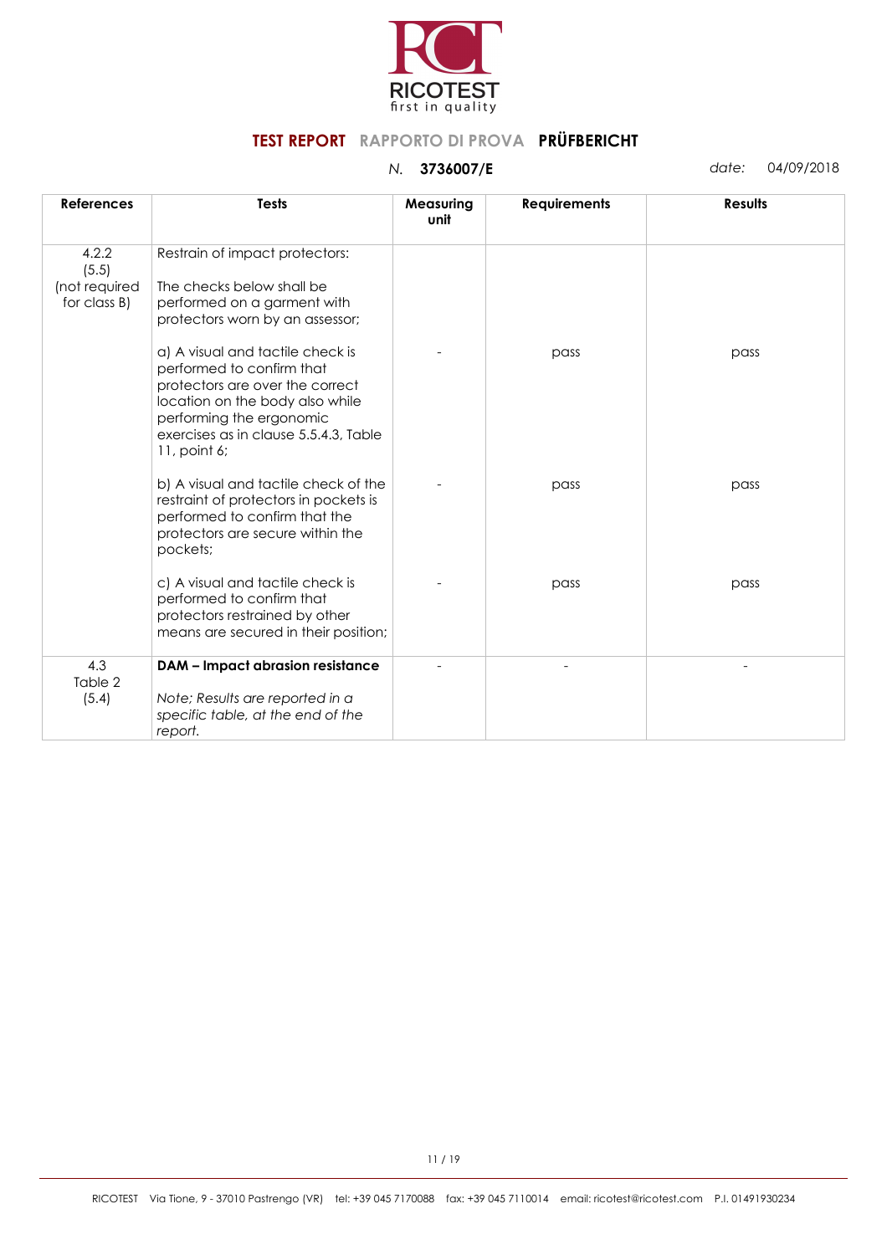

| <b>References</b>                               | <b>Tests</b>                                                                                                                                                                                                                                                | Measuring<br>unit | <b>Requirements</b> | <b>Results</b> |
|-------------------------------------------------|-------------------------------------------------------------------------------------------------------------------------------------------------------------------------------------------------------------------------------------------------------------|-------------------|---------------------|----------------|
| 4.2.2<br>(5.5)<br>(not required<br>for class B) | Restrain of impact protectors:<br>The checks below shall be<br>performed on a garment with                                                                                                                                                                  |                   |                     |                |
|                                                 | protectors worn by an assessor;<br>a) A visual and tactile check is<br>performed to confirm that<br>protectors are over the correct<br>location on the body also while<br>performing the ergonomic<br>exercises as in clause 5.5.4.3, Table<br>11, point 6; |                   | pass                | pass           |
|                                                 | b) A visual and tactile check of the<br>restraint of protectors in pockets is<br>performed to confirm that the<br>protectors are secure within the<br>pockets;                                                                                              |                   | pass                | pass           |
|                                                 | c) A visual and tactile check is<br>performed to confirm that<br>protectors restrained by other<br>means are secured in their position;                                                                                                                     |                   | pass                | pass           |
| 4.3<br>Table 2<br>(5.4)                         | <b>DAM - Impact abrasion resistance</b><br>Note; Results are reported in a<br>specific table, at the end of the<br>report.                                                                                                                                  |                   |                     |                |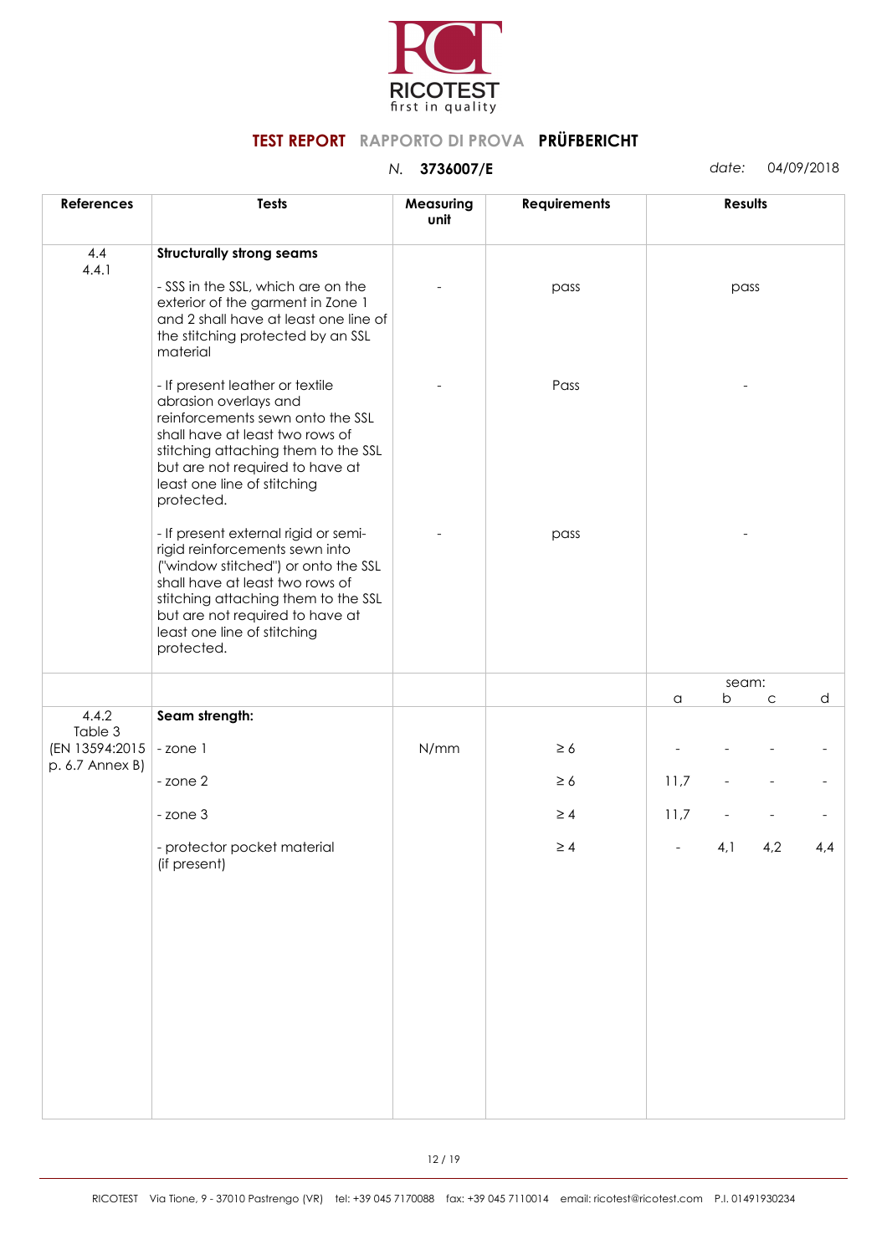

| <b>References</b>                            | <b>Tests</b>                                                                                                                                                                                                                                                            | Measuring<br>unit | <b>Requirements</b> |      | Results |     |     |
|----------------------------------------------|-------------------------------------------------------------------------------------------------------------------------------------------------------------------------------------------------------------------------------------------------------------------------|-------------------|---------------------|------|---------|-----|-----|
| 4.4<br>4.4.1                                 | <b>Structurally strong seams</b>                                                                                                                                                                                                                                        |                   |                     |      |         |     |     |
|                                              | - SSS in the SSL, which are on the<br>exterior of the garment in Zone 1<br>and 2 shall have at least one line of<br>the stitching protected by an SSL<br>material                                                                                                       |                   | pass                |      | pass    |     |     |
|                                              | - If present leather or textile<br>abrasion overlays and<br>reinforcements sewn onto the SSL<br>shall have at least two rows of<br>stitching attaching them to the SSL<br>but are not required to have at<br>least one line of stitching<br>protected.                  |                   | Pass                |      |         |     |     |
|                                              | - If present external rigid or semi-<br>rigid reinforcements sewn into<br>("window stitched") or onto the SSL<br>shall have at least two rows of<br>stitching attaching them to the SSL<br>but are not required to have at<br>least one line of stitching<br>protected. |                   | pass                |      |         |     |     |
|                                              |                                                                                                                                                                                                                                                                         |                   |                     |      | seam:   |     |     |
| 4.4.2                                        | Seam strength:                                                                                                                                                                                                                                                          |                   |                     | a    | b       | C   | d   |
| Table 3<br>(EN 13594:2015<br>p. 6.7 Annex B) | -zone 1                                                                                                                                                                                                                                                                 | N/mm              | $\geq 6$            |      |         |     |     |
|                                              | - zone 2                                                                                                                                                                                                                                                                |                   | $\geq 6$            | 11,7 |         |     |     |
|                                              | - zone 3                                                                                                                                                                                                                                                                |                   | $\geq 4$            | 11,7 |         |     |     |
|                                              | - protector pocket material<br>(if present)                                                                                                                                                                                                                             |                   | $\geq 4$            |      | 4,1     | 4,2 | 4,4 |
|                                              |                                                                                                                                                                                                                                                                         |                   |                     |      |         |     |     |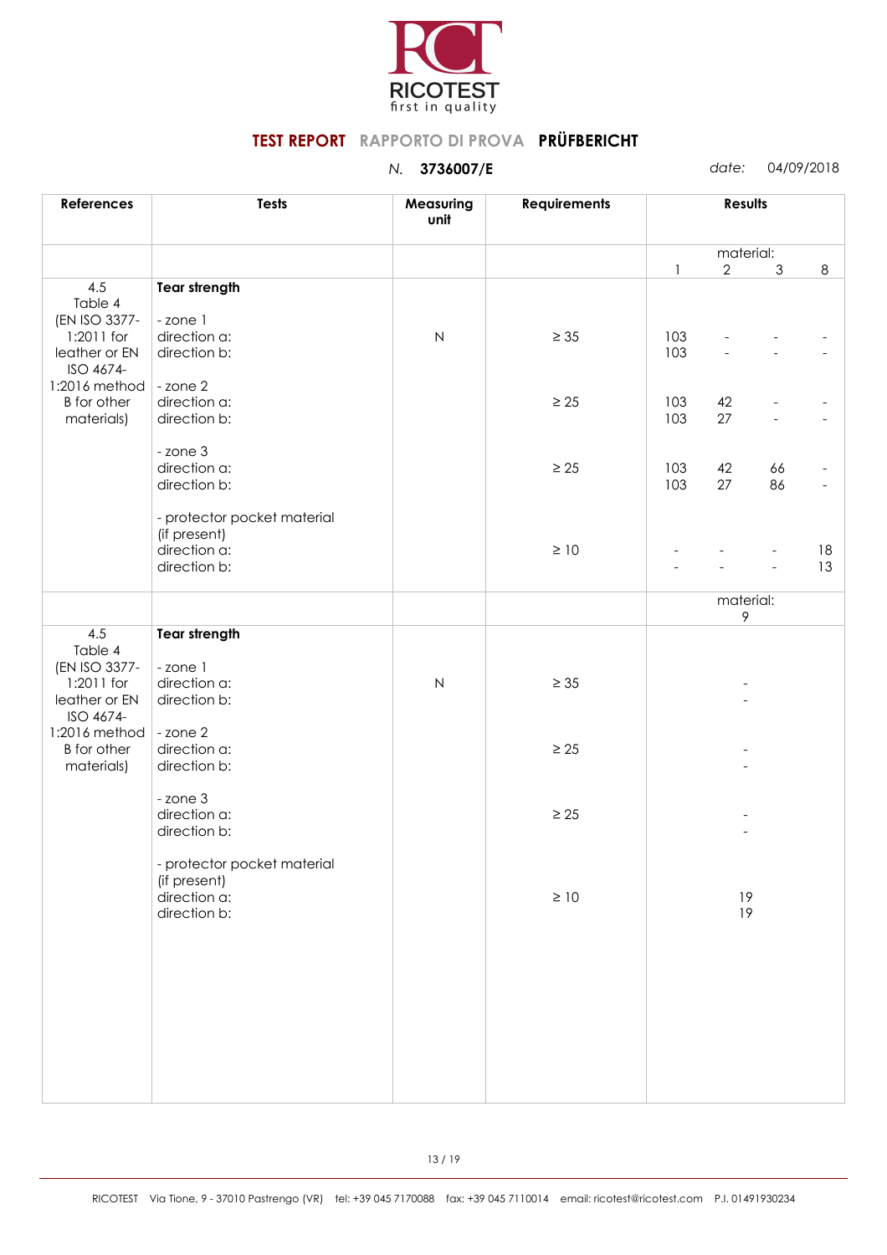

| <b>References</b>                | <b>Tests</b>                 | Measuring<br>unit   | <b>Requirements</b> | <b>Results</b> |                |                |    |
|----------------------------------|------------------------------|---------------------|---------------------|----------------|----------------|----------------|----|
|                                  |                              |                     |                     |                | material:      |                |    |
| 4.5                              | <b>Tear strength</b>         |                     |                     | $\mathbf{1}$   | $\overline{2}$ | $\mathfrak{Z}$ | 8  |
| Table 4<br>(EN ISO 3377-         | -zone 1                      |                     |                     |                |                |                |    |
| 1:2011 for                       | direction a:                 | $\mathsf{N}\xspace$ | $\geq 35$           | 103            |                |                |    |
| leather or EN<br>ISO 4674-       | direction b:                 |                     |                     | 103            |                |                |    |
| 1:2016 method                    | - zone 2                     |                     |                     |                |                |                |    |
| <b>B</b> for other               | direction a:                 |                     | $\geq 25$           | 103            | 42             |                |    |
| materials)                       | direction b:                 |                     |                     | 103            | 27             |                |    |
|                                  | - zone 3                     |                     |                     |                |                |                |    |
|                                  | direction a:<br>direction b: |                     | $\geq 25$           | 103<br>103     | 42<br>27       | 66<br>86       |    |
|                                  |                              |                     |                     |                |                |                |    |
|                                  | - protector pocket material  |                     |                     |                |                |                |    |
|                                  | (if present)<br>direction a: |                     | $\geq 10$           |                |                |                | 18 |
|                                  | direction b:                 |                     |                     |                |                |                | 13 |
|                                  |                              |                     |                     |                | material:      |                |    |
|                                  |                              |                     |                     |                | $\,9\,$        |                |    |
| 4.5<br>Table 4                   | <b>Tear strength</b>         |                     |                     |                |                |                |    |
| (EN ISO 3377-                    | -zone 1                      |                     |                     |                |                |                |    |
| 1:2011 for<br>leather or EN      | direction a:<br>direction b: | ${\sf N}$           | $\geq$ 35           |                |                |                |    |
| ISO 4674-                        |                              |                     |                     |                |                |                |    |
| 1:2016 method                    | - zone 2                     |                     |                     |                |                |                |    |
| <b>B</b> for other<br>materials) | direction a:<br>direction b: |                     | $\geq 25$           |                |                |                |    |
|                                  |                              |                     |                     |                |                |                |    |
|                                  | - zone 3<br>direction a:     |                     | $\geq 25$           |                |                |                |    |
|                                  | direction b:                 |                     |                     |                |                |                |    |
|                                  | - protector pocket material  |                     |                     |                |                |                |    |
|                                  | (if present)                 |                     |                     |                |                |                |    |
|                                  | direction a:                 |                     | $\geq 10$           |                | 19             |                |    |
|                                  | direction b:                 |                     |                     |                | 19             |                |    |
|                                  |                              |                     |                     |                |                |                |    |
|                                  |                              |                     |                     |                |                |                |    |
|                                  |                              |                     |                     |                |                |                |    |
|                                  |                              |                     |                     |                |                |                |    |
|                                  |                              |                     |                     |                |                |                |    |
|                                  |                              |                     |                     |                |                |                |    |
|                                  |                              |                     |                     |                |                |                |    |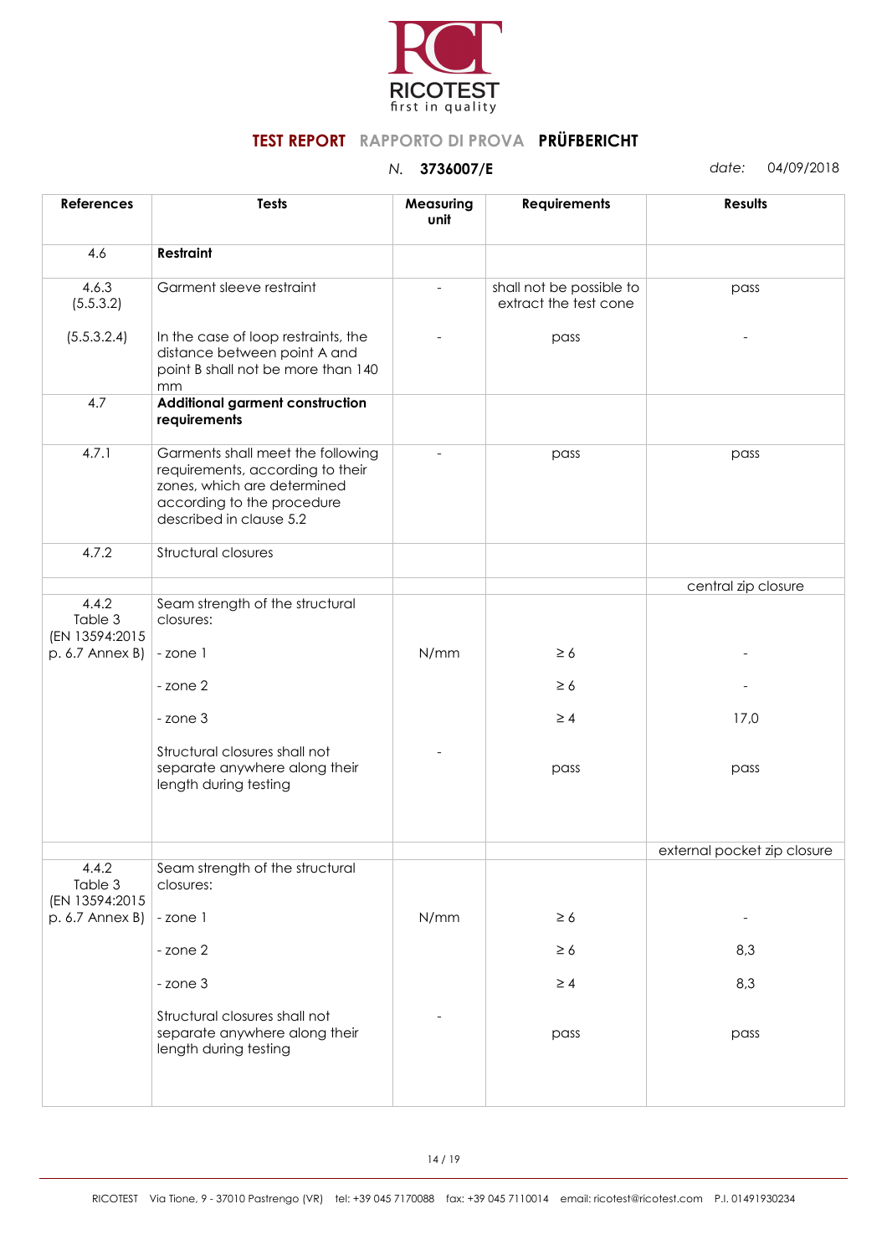

| <b>References</b>                  | Tests                                                                                                                                                         | Measuring<br>unit | <b>Requirements</b>                               | <b>Results</b>              |
|------------------------------------|---------------------------------------------------------------------------------------------------------------------------------------------------------------|-------------------|---------------------------------------------------|-----------------------------|
| 4.6                                | Restraint                                                                                                                                                     |                   |                                                   |                             |
| 4.6.3<br>(5.5.3.2)                 | Garment sleeve restraint                                                                                                                                      |                   | shall not be possible to<br>extract the test cone | pass                        |
| (5.5.3.2.4)                        | In the case of loop restraints, the<br>distance between point A and<br>point B shall not be more than 140<br>mm                                               |                   | pass                                              |                             |
| 4.7                                | Additional garment construction<br>requirements                                                                                                               |                   |                                                   |                             |
| 4.7.1                              | Garments shall meet the following<br>requirements, according to their<br>zones, which are determined<br>according to the procedure<br>described in clause 5.2 |                   | pass                                              | pass                        |
| 4.7.2                              | Structural closures                                                                                                                                           |                   |                                                   |                             |
|                                    |                                                                                                                                                               |                   |                                                   | central zip closure         |
| 4.4.2<br>Table 3<br>(EN 13594:2015 | Seam strength of the structural<br>closures:                                                                                                                  |                   |                                                   |                             |
| p. 6.7 Annex B)                    | -zone 1                                                                                                                                                       | N/mm              | $\geq 6$                                          |                             |
|                                    | - zone 2                                                                                                                                                      |                   | $\geq 6$                                          |                             |
|                                    | - zone 3                                                                                                                                                      |                   | $\geq 4$                                          | 17,0                        |
|                                    | Structural closures shall not<br>separate anywhere along their<br>length during testing                                                                       |                   | pass                                              | pass                        |
|                                    |                                                                                                                                                               |                   |                                                   |                             |
|                                    |                                                                                                                                                               |                   |                                                   | external pocket zip closure |
| 4.4.2<br>Table 3<br>(EN 13594:2015 | Seam strength of the structural<br>closures:                                                                                                                  |                   |                                                   |                             |
| p. 6.7 Annex B)                    | -zone 1                                                                                                                                                       | N/mm              | $\geq 6$                                          | $\overline{\phantom{a}}$    |
|                                    | - zone 2                                                                                                                                                      |                   | $\geq 6$                                          | 8,3                         |
|                                    | - zone 3                                                                                                                                                      |                   | $\geq 4$                                          | 8,3                         |
|                                    | Structural closures shall not<br>separate anywhere along their<br>length during testing                                                                       |                   | pass                                              | pass                        |
|                                    |                                                                                                                                                               |                   |                                                   |                             |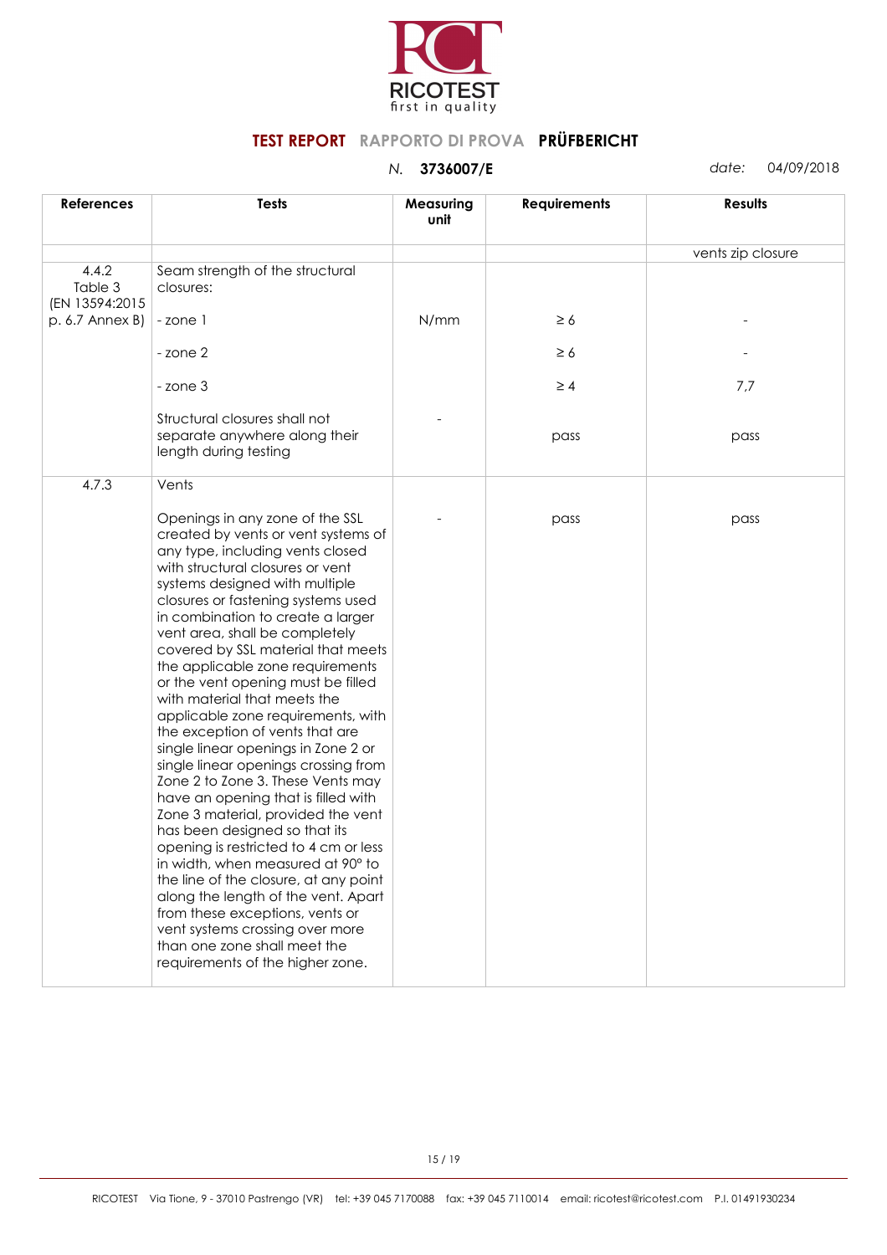

| <b>References</b>                  | <b>Tests</b>                                                                                                                                                                                                                                                                                                                                                                                                                                                                                                                                                                                                                                                                                                                                                                                                                                                                                                                                                                                                                          | Measuring<br>unit | <b>Requirements</b> | Results           |
|------------------------------------|---------------------------------------------------------------------------------------------------------------------------------------------------------------------------------------------------------------------------------------------------------------------------------------------------------------------------------------------------------------------------------------------------------------------------------------------------------------------------------------------------------------------------------------------------------------------------------------------------------------------------------------------------------------------------------------------------------------------------------------------------------------------------------------------------------------------------------------------------------------------------------------------------------------------------------------------------------------------------------------------------------------------------------------|-------------------|---------------------|-------------------|
|                                    |                                                                                                                                                                                                                                                                                                                                                                                                                                                                                                                                                                                                                                                                                                                                                                                                                                                                                                                                                                                                                                       |                   |                     | vents zip closure |
| 4.4.2<br>Table 3<br>(EN 13594:2015 | Seam strength of the structural<br>closures:                                                                                                                                                                                                                                                                                                                                                                                                                                                                                                                                                                                                                                                                                                                                                                                                                                                                                                                                                                                          |                   |                     |                   |
| p. 6.7 Annex B)                    | -zone 1                                                                                                                                                                                                                                                                                                                                                                                                                                                                                                                                                                                                                                                                                                                                                                                                                                                                                                                                                                                                                               | N/mm              | $\geq 6$            |                   |
|                                    | - zone 2                                                                                                                                                                                                                                                                                                                                                                                                                                                                                                                                                                                                                                                                                                                                                                                                                                                                                                                                                                                                                              |                   | $\geq 6$            |                   |
|                                    | - zone 3                                                                                                                                                                                                                                                                                                                                                                                                                                                                                                                                                                                                                                                                                                                                                                                                                                                                                                                                                                                                                              |                   | $\geq 4$            | 7,7               |
|                                    | Structural closures shall not<br>separate anywhere along their<br>length during testing                                                                                                                                                                                                                                                                                                                                                                                                                                                                                                                                                                                                                                                                                                                                                                                                                                                                                                                                               |                   | pass                | pass              |
| 4.7.3                              | Vents<br>Openings in any zone of the SSL<br>created by vents or vent systems of<br>any type, including vents closed<br>with structural closures or vent<br>systems designed with multiple<br>closures or fastening systems used<br>in combination to create a larger<br>vent area, shall be completely<br>covered by SSL material that meets<br>the applicable zone requirements<br>or the vent opening must be filled<br>with material that meets the<br>applicable zone requirements, with<br>the exception of vents that are<br>single linear openings in Zone 2 or<br>single linear openings crossing from<br>Zone 2 to Zone 3. These Vents may<br>have an opening that is filled with<br>Zone 3 material, provided the vent<br>has been designed so that its<br>opening is restricted to 4 cm or less<br>in width, when measured at 90° to<br>the line of the closure, at any point<br>along the length of the vent. Apart<br>from these exceptions, vents or<br>vent systems crossing over more<br>than one zone shall meet the |                   | pass                | pass              |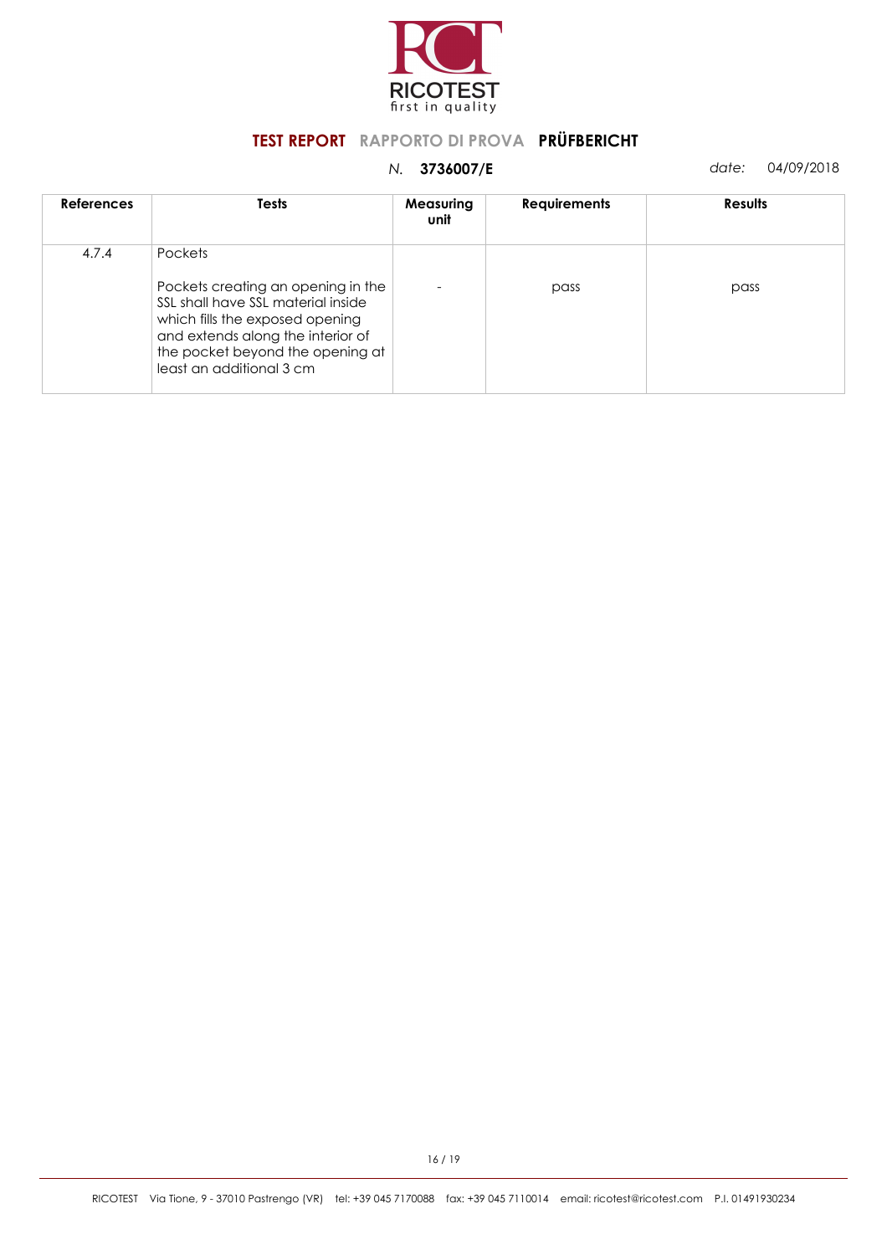

| <b>References</b> | Tests                                                                                                                                                                                                                              | Measuring<br>unit | <b>Requirements</b> | <b>Results</b> |
|-------------------|------------------------------------------------------------------------------------------------------------------------------------------------------------------------------------------------------------------------------------|-------------------|---------------------|----------------|
| 4.7.4             | <b>Pockets</b><br>Pockets creating an opening in the<br>SSL shall have SSL material inside<br>which fills the exposed opening<br>and extends along the interior of<br>the pocket beyond the opening at<br>least an additional 3 cm |                   | pass                | pass           |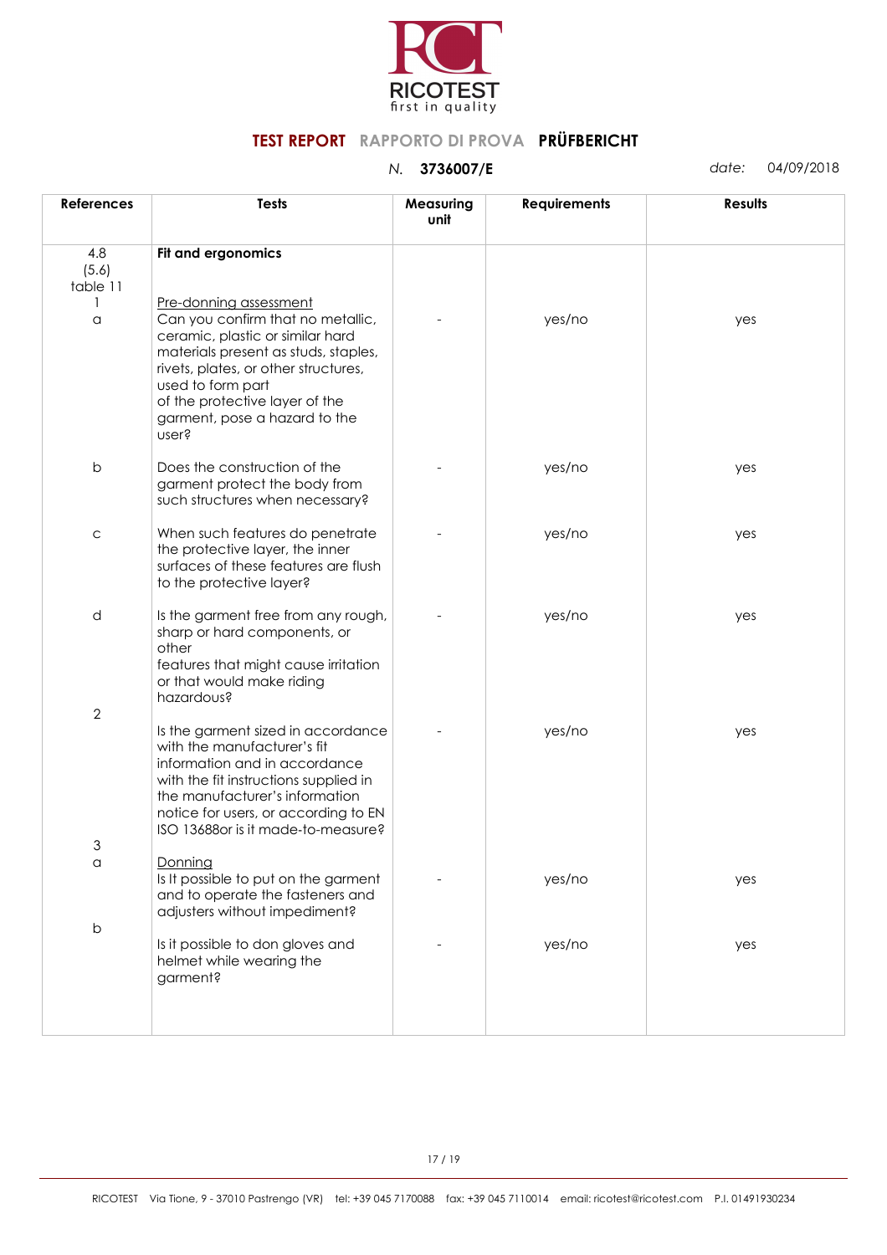

| <b>References</b>        | <b>Tests</b>                                                                                                                                                                                                                                                                     | Measuring<br>unit | <b>Requirements</b> | <b>Results</b> |
|--------------------------|----------------------------------------------------------------------------------------------------------------------------------------------------------------------------------------------------------------------------------------------------------------------------------|-------------------|---------------------|----------------|
| 4.8<br>(5.6)<br>table 11 | Fit and ergonomics                                                                                                                                                                                                                                                               |                   |                     |                |
| a                        | Pre-donning assessment<br>Can you confirm that no metallic,<br>ceramic, plastic or similar hard<br>materials present as studs, staples,<br>rivets, plates, or other structures,<br>used to form part<br>of the protective layer of the<br>garment, pose a hazard to the<br>user? |                   | yes/no              | yes            |
| $\mathsf b$              | Does the construction of the<br>garment protect the body from<br>such structures when necessary?                                                                                                                                                                                 |                   | yes/no              | yes            |
| $\mathsf C$              | When such features do penetrate<br>the protective layer, the inner<br>surfaces of these features are flush<br>to the protective layer?                                                                                                                                           |                   | yes/no              | yes            |
| d                        | Is the garment free from any rough,<br>sharp or hard components, or<br>other<br>features that might cause irritation<br>or that would make riding<br>hazardous?                                                                                                                  |                   | yes/no              | yes            |
| $\overline{2}$           | Is the garment sized in accordance<br>with the manufacturer's fit<br>information and in accordance<br>with the fit instructions supplied in<br>the manufacturer's information<br>notice for users, or according to EN<br>ISO 13688 or is it made-to-measure?                     |                   | yes/no              | yes            |
| 3                        |                                                                                                                                                                                                                                                                                  |                   |                     |                |
| $\alpha$                 | Donning<br>Is It possible to put on the garment<br>and to operate the fasteners and<br>adjusters without impediment?                                                                                                                                                             |                   | yes/no              | yes            |
| $\sf b$                  | Is it possible to don gloves and<br>helmet while wearing the<br>garment?                                                                                                                                                                                                         |                   | yes/no              | yes            |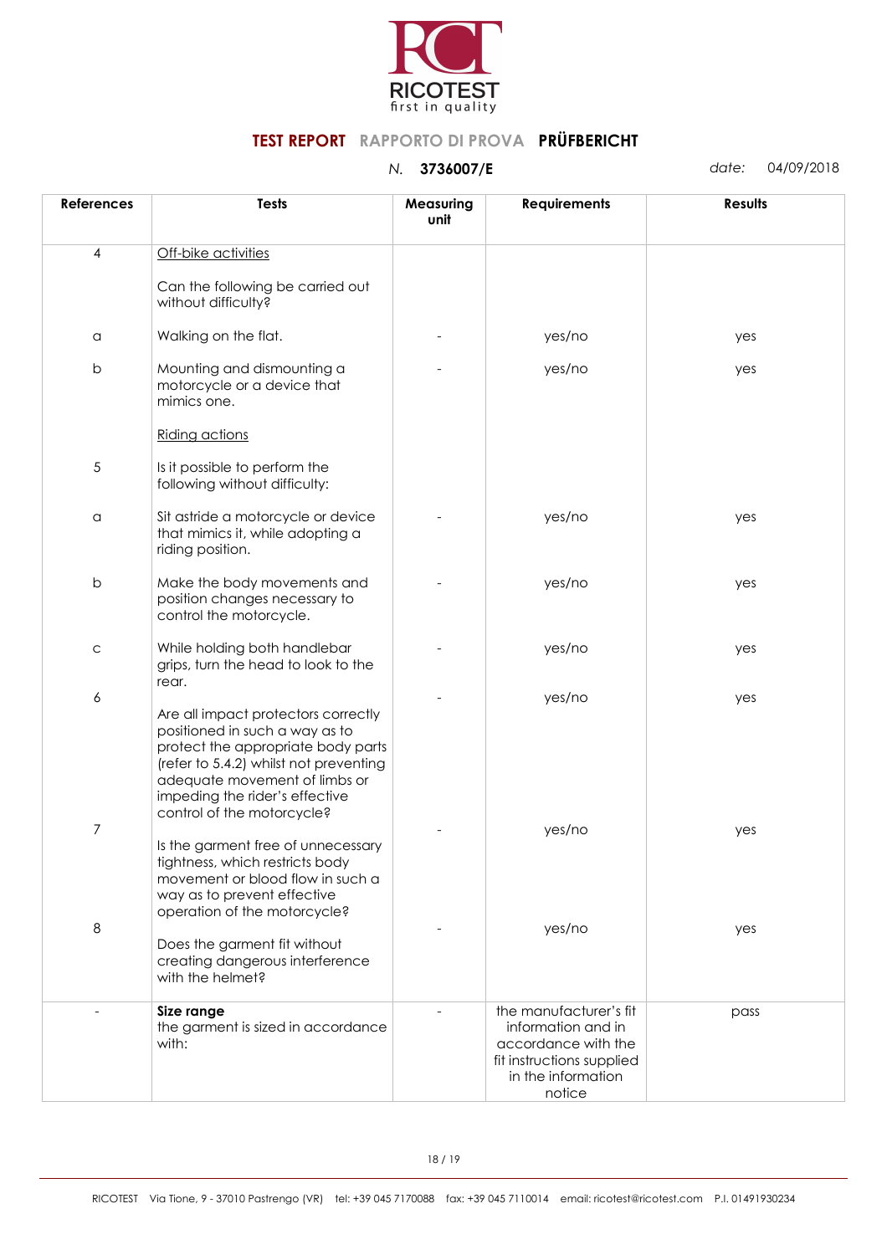

| <b>References</b> | <b>Tests</b>                                                                                                                                                                                                                                           | Measuring<br>unit | <b>Requirements</b>                                                                                                              | <b>Results</b> |
|-------------------|--------------------------------------------------------------------------------------------------------------------------------------------------------------------------------------------------------------------------------------------------------|-------------------|----------------------------------------------------------------------------------------------------------------------------------|----------------|
| 4                 | Off-bike activities                                                                                                                                                                                                                                    |                   |                                                                                                                                  |                |
|                   | Can the following be carried out<br>without difficulty?                                                                                                                                                                                                |                   |                                                                                                                                  |                |
| $\alpha$          | Walking on the flat.                                                                                                                                                                                                                                   |                   | yes/no                                                                                                                           | yes            |
| $\sf b$           | Mounting and dismounting a<br>motorcycle or a device that<br>mimics one.                                                                                                                                                                               |                   | yes/no                                                                                                                           | yes            |
|                   | Riding actions                                                                                                                                                                                                                                         |                   |                                                                                                                                  |                |
| $\sqrt{5}$        | Is it possible to perform the<br>following without difficulty:                                                                                                                                                                                         |                   |                                                                                                                                  |                |
| $\alpha$          | Sit astride a motorcycle or device<br>that mimics it, while adopting a<br>riding position.                                                                                                                                                             |                   | yes/no                                                                                                                           | yes            |
| $\sf b$           | Make the body movements and<br>position changes necessary to<br>control the motorcycle.                                                                                                                                                                |                   | yes/no                                                                                                                           | yes            |
| $\mathsf C$       | While holding both handlebar<br>grips, turn the head to look to the<br>rear.                                                                                                                                                                           |                   | yes/no                                                                                                                           | yes            |
| 6                 | Are all impact protectors correctly<br>positioned in such a way as to<br>protect the appropriate body parts<br>(refer to 5.4.2) whilst not preventing<br>adequate movement of limbs or<br>impeding the rider's effective<br>control of the motorcycle? |                   | yes/no                                                                                                                           | yes            |
| $\overline{7}$    | Is the garment free of unnecessary<br>tightness, which restricts body<br>movement or blood flow in such a<br>way as to prevent effective<br>operation of the motorcycle?                                                                               |                   | yes/no                                                                                                                           | yes            |
| $\,8\,$           | Does the garment fit without<br>creating dangerous interference<br>with the helmet?                                                                                                                                                                    |                   | yes/no                                                                                                                           | yes            |
|                   | Size range<br>the garment is sized in accordance<br>with:                                                                                                                                                                                              |                   | the manufacturer's fit<br>information and in<br>accordance with the<br>fit instructions supplied<br>in the information<br>notice | pass           |